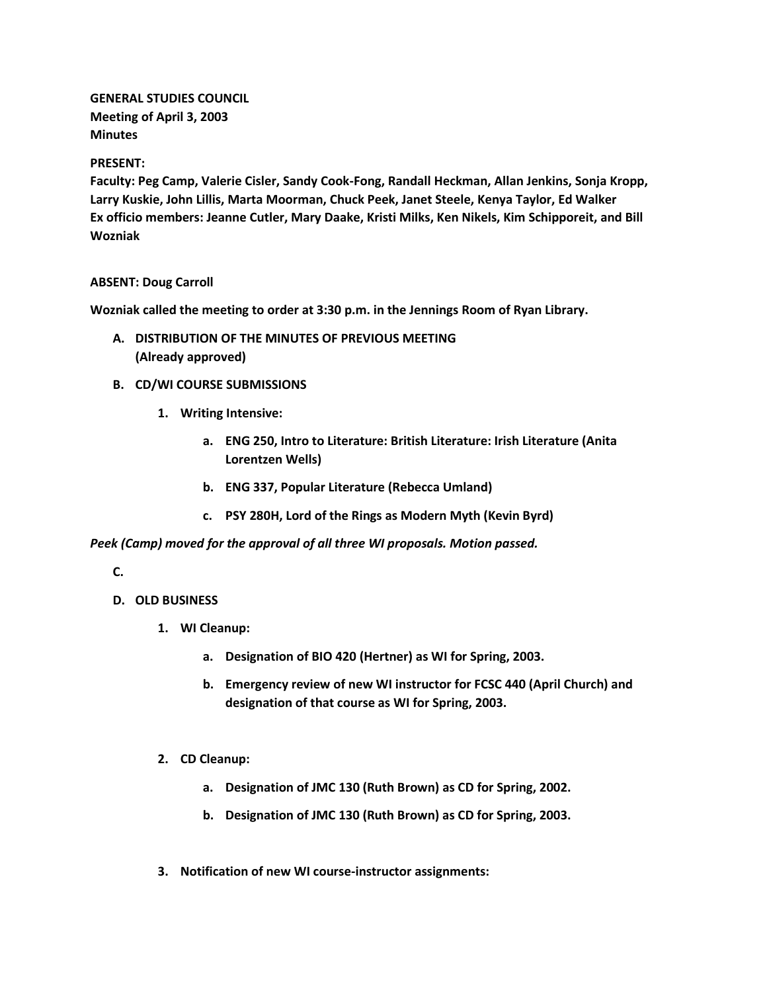**GENERAL STUDIES COUNCIL Meeting of April 3, 2003 Minutes**

## **PRESENT:**

**Faculty: Peg Camp, Valerie Cisler, Sandy Cook-Fong, Randall Heckman, Allan Jenkins, Sonja Kropp, Larry Kuskie, John Lillis, Marta Moorman, Chuck Peek, Janet Steele, Kenya Taylor, Ed Walker Ex officio members: Jeanne Cutler, Mary Daake, Kristi Milks, Ken Nikels, Kim Schipporeit, and Bill Wozniak**

## **ABSENT: Doug Carroll**

**Wozniak called the meeting to order at 3:30 p.m. in the Jennings Room of Ryan Library.**

- **A. DISTRIBUTION OF THE MINUTES OF PREVIOUS MEETING (Already approved)**
- **B. CD/WI COURSE SUBMISSIONS**
	- **1. Writing Intensive:** 
		- **a. ENG 250, Intro to Literature: British Literature: Irish Literature (Anita Lorentzen Wells)**
		- **b. ENG 337, Popular Literature (Rebecca Umland)**
		- **c. PSY 280H, Lord of the Rings as Modern Myth (Kevin Byrd)**

*Peek (Camp) moved for the approval of all three WI proposals. Motion passed.*

**C.**

- **D. OLD BUSINESS**
	- **1. WI Cleanup:** 
		- **a. Designation of BIO 420 (Hertner) as WI for Spring, 2003.**
		- **b. Emergency review of new WI instructor for FCSC 440 (April Church) and designation of that course as WI for Spring, 2003.**
	- **2. CD Cleanup:** 
		- **a. Designation of JMC 130 (Ruth Brown) as CD for Spring, 2002.**
		- **b. Designation of JMC 130 (Ruth Brown) as CD for Spring, 2003.**
	- **3. Notification of new WI course-instructor assignments:**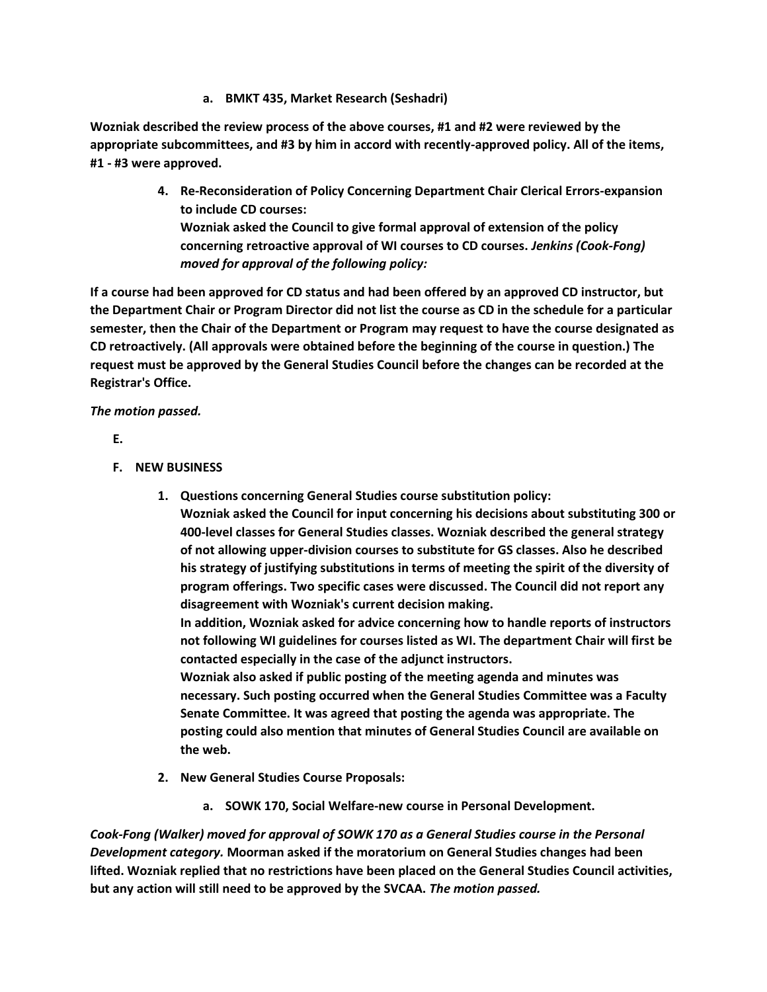**a. BMKT 435, Market Research (Seshadri)**

**Wozniak described the review process of the above courses, #1 and #2 were reviewed by the appropriate subcommittees, and #3 by him in accord with recently-approved policy. All of the items, #1 - #3 were approved.**

> **4. Re-Reconsideration of Policy Concerning Department Chair Clerical Errors-expansion to include CD courses: Wozniak asked the Council to give formal approval of extension of the policy concerning retroactive approval of WI courses to CD courses.** *Jenkins (Cook-Fong) moved for approval of the following policy:*

**If a course had been approved for CD status and had been offered by an approved CD instructor, but the Department Chair or Program Director did not list the course as CD in the schedule for a particular semester, then the Chair of the Department or Program may request to have the course designated as CD retroactively. (All approvals were obtained before the beginning of the course in question.) The request must be approved by the General Studies Council before the changes can be recorded at the Registrar's Office.**

*The motion passed.*

**E.**

- **F. NEW BUSINESS**
	- **1. Questions concerning General Studies course substitution policy:**

**Wozniak asked the Council for input concerning his decisions about substituting 300 or 400-level classes for General Studies classes. Wozniak described the general strategy of not allowing upper-division courses to substitute for GS classes. Also he described his strategy of justifying substitutions in terms of meeting the spirit of the diversity of program offerings. Two specific cases were discussed. The Council did not report any disagreement with Wozniak's current decision making.**

**In addition, Wozniak asked for advice concerning how to handle reports of instructors not following WI guidelines for courses listed as WI. The department Chair will first be contacted especially in the case of the adjunct instructors.**

**Wozniak also asked if public posting of the meeting agenda and minutes was necessary. Such posting occurred when the General Studies Committee was a Faculty Senate Committee. It was agreed that posting the agenda was appropriate. The posting could also mention that minutes of General Studies Council are available on the web.**

- **2. New General Studies Course Proposals:** 
	- **a. SOWK 170, Social Welfare-new course in Personal Development.**

*Cook-Fong (Walker) moved for approval of SOWK 170 as a General Studies course in the Personal Development category.* **Moorman asked if the moratorium on General Studies changes had been lifted. Wozniak replied that no restrictions have been placed on the General Studies Council activities, but any action will still need to be approved by the SVCAA.** *The motion passed.*